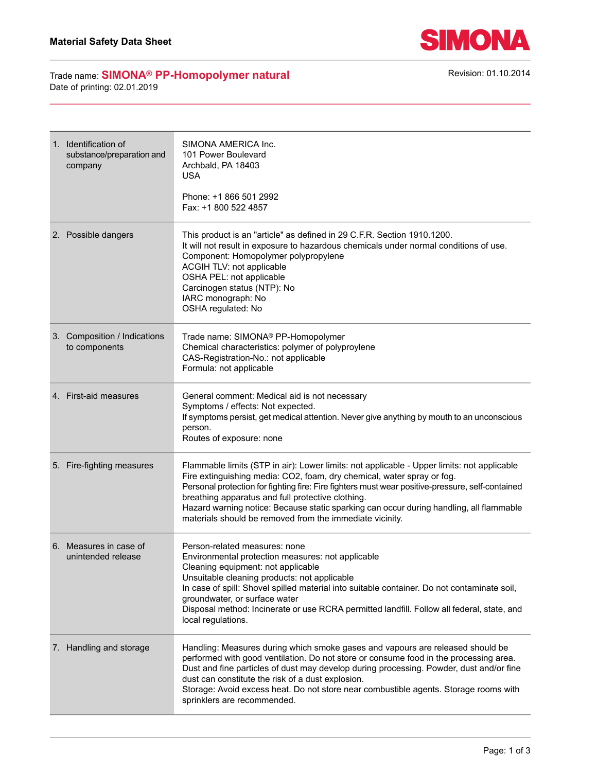

## Trade name: **SIMONA<sup>®</sup> PP-Homopolymer natural** Revision: 01.10.2014 Date of printing: 02.01.2019

| 1. Identification of<br>substance/preparation and<br>company | SIMONA AMERICA Inc.<br>101 Power Boulevard<br>Archbald, PA 18403<br>USA<br>Phone: +1 866 501 2992<br>Fax: +1 800 522 4857                                                                                                                                                                                                                                                                                                                                                            |
|--------------------------------------------------------------|--------------------------------------------------------------------------------------------------------------------------------------------------------------------------------------------------------------------------------------------------------------------------------------------------------------------------------------------------------------------------------------------------------------------------------------------------------------------------------------|
| 2. Possible dangers                                          | This product is an "article" as defined in 29 C.F.R. Section 1910.1200.<br>It will not result in exposure to hazardous chemicals under normal conditions of use.<br>Component: Homopolymer polypropylene<br>ACGIH TLV: not applicable<br>OSHA PEL: not applicable<br>Carcinogen status (NTP): No<br>IARC monograph: No<br>OSHA regulated: No                                                                                                                                         |
| 3. Composition / Indications<br>to components                | Trade name: SIMONA® PP-Homopolymer<br>Chemical characteristics: polymer of polyproylene<br>CAS-Registration-No.: not applicable<br>Formula: not applicable                                                                                                                                                                                                                                                                                                                           |
| 4. First-aid measures                                        | General comment: Medical aid is not necessary<br>Symptoms / effects: Not expected.<br>If symptoms persist, get medical attention. Never give anything by mouth to an unconscious<br>person.<br>Routes of exposure: none                                                                                                                                                                                                                                                              |
| 5. Fire-fighting measures                                    | Flammable limits (STP in air): Lower limits: not applicable - Upper limits: not applicable<br>Fire extinguishing media: CO2, foam, dry chemical, water spray or fog.<br>Personal protection for fighting fire: Fire fighters must wear positive-pressure, self-contained<br>breathing apparatus and full protective clothing.<br>Hazard warning notice: Because static sparking can occur during handling, all flammable<br>materials should be removed from the immediate vicinity. |
| 6. Measures in case of<br>unintended release                 | Person-related measures: none<br>Environmental protection measures: not applicable<br>Cleaning equipment: not applicable<br>Unsuitable cleaning products: not applicable<br>In case of spill: Shovel spilled material into suitable container. Do not contaminate soil,<br>groundwater, or surface water<br>Disposal method: Incinerate or use RCRA permitted landfill. Follow all federal, state, and<br>local regulations.                                                         |
| 7. Handling and storage                                      | Handling: Measures during which smoke gases and vapours are released should be<br>performed with good ventilation. Do not store or consume food in the processing area.<br>Dust and fine particles of dust may develop during processing. Powder, dust and/or fine<br>dust can constitute the risk of a dust explosion.<br>Storage: Avoid excess heat. Do not store near combustible agents. Storage rooms with<br>sprinklers are recommended.                                       |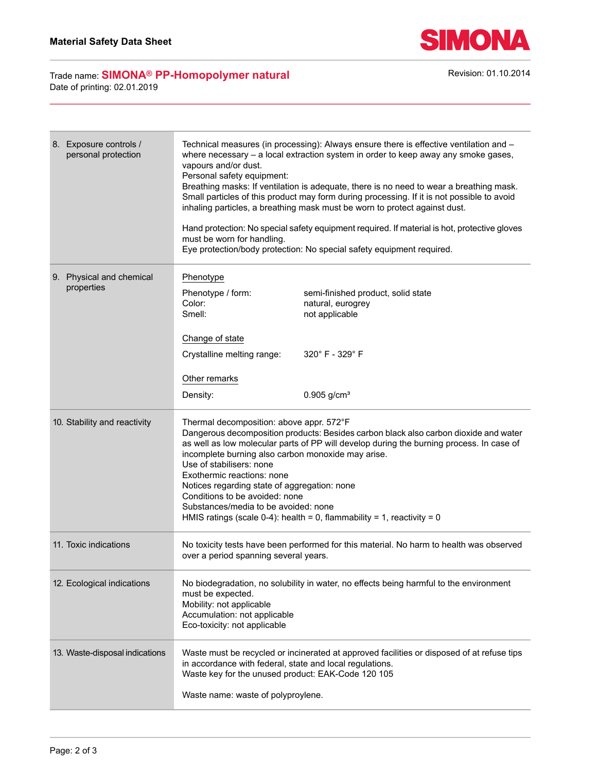

## Trade name: **SIMONA<sup>®</sup> PP-Homopolymer natural** Revision: 01.10.2014 Date of printing: 02.01.2019

| 8. Exposure controls /<br>personal protection | Technical measures (in processing): Always ensure there is effective ventilation and -<br>where necessary $-$ a local extraction system in order to keep away any smoke gases,<br>vapours and/or dust.<br>Personal safety equipment:<br>Breathing masks: If ventilation is adequate, there is no need to wear a breathing mask.<br>Small particles of this product may form during processing. If it is not possible to avoid<br>inhaling particles, a breathing mask must be worn to protect against dust.<br>Hand protection: No special safety equipment required. If material is hot, protective gloves<br>must be worn for handling.<br>Eye protection/body protection: No special safety equipment required. |
|-----------------------------------------------|--------------------------------------------------------------------------------------------------------------------------------------------------------------------------------------------------------------------------------------------------------------------------------------------------------------------------------------------------------------------------------------------------------------------------------------------------------------------------------------------------------------------------------------------------------------------------------------------------------------------------------------------------------------------------------------------------------------------|
| 9. Physical and chemical<br>properties        | Phenotype<br>Phenotype / form:<br>semi-finished product, solid state<br>Color:<br>natural, eurogrey<br>Smell:<br>not applicable<br>Change of state                                                                                                                                                                                                                                                                                                                                                                                                                                                                                                                                                                 |
|                                               | 320°F-329°F<br>Crystalline melting range:<br>Other remarks<br>Density:<br>$0.905$ g/cm <sup>3</sup>                                                                                                                                                                                                                                                                                                                                                                                                                                                                                                                                                                                                                |
| 10. Stability and reactivity                  | Thermal decomposition: above appr. 572°F<br>Dangerous decomposition products: Besides carbon black also carbon dioxide and water<br>as well as low molecular parts of PP will develop during the burning process. In case of<br>incomplete burning also carbon monoxide may arise.<br>Use of stabilisers: none<br>Exothermic reactions: none<br>Notices regarding state of aggregation: none<br>Conditions to be avoided: none<br>Substances/media to be avoided: none<br>HMIS ratings (scale 0-4): health = 0, flammability = 1, reactivity = 0                                                                                                                                                                   |
| 11. Toxic indications                         | No toxicity tests have been performed for this material. No harm to health was observed<br>over a period spanning several years.                                                                                                                                                                                                                                                                                                                                                                                                                                                                                                                                                                                   |
| 12. Ecological indications                    | No biodegradation, no solubility in water, no effects being harmful to the environment<br>must be expected.<br>Mobility: not applicable<br>Accumulation: not applicable<br>Eco-toxicity: not applicable                                                                                                                                                                                                                                                                                                                                                                                                                                                                                                            |
| 13. Waste-disposal indications                | Waste must be recycled or incinerated at approved facilities or disposed of at refuse tips<br>in accordance with federal, state and local regulations.<br>Waste key for the unused product: EAK-Code 120 105<br>Waste name: waste of polyproylene.                                                                                                                                                                                                                                                                                                                                                                                                                                                                 |